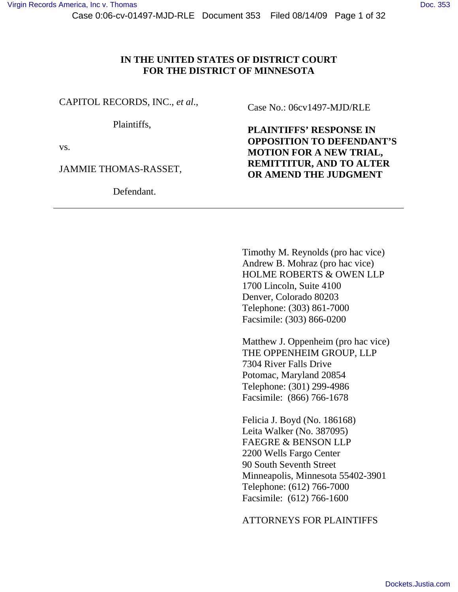## **IN THE UNITED STATES OF DISTRICT COURT FOR THE DISTRICT OF MINNESOTA**

CAPITOL RECORDS, INC., *et al*.,

Plaintiffs,

vs.

JAMMIE THOMAS-RASSET,

Defendant.

Case No.: 06cv1497-MJD/RLE

**PLAINTIFFS' RESPONSE IN OPPOSITION TO DEFENDANT'S MOTION FOR A NEW TRIAL, REMITTITUR, AND TO ALTER OR AMEND THE JUDGMENT** 

 Timothy M. Reynolds (pro hac vice) Andrew B. Mohraz (pro hac vice) HOLME ROBERTS & OWEN LLP 1700 Lincoln, Suite 4100 Denver, Colorado 80203 Telephone: (303) 861-7000 Facsimile: (303) 866-0200

Matthew J. Oppenheim (pro hac vice) THE OPPENHEIM GROUP, LLP 7304 River Falls Drive Potomac, Maryland 20854 Telephone: (301) 299-4986 Facsimile: (866) 766-1678

Felicia J. Boyd (No. 186168) Leita Walker (No. 387095) FAEGRE & BENSON LLP 2200 Wells Fargo Center 90 South Seventh Street Minneapolis, Minnesota 55402-3901 Telephone: (612) 766-7000 Facsimile: (612) 766-1600

ATTORNEYS FOR PLAINTIFFS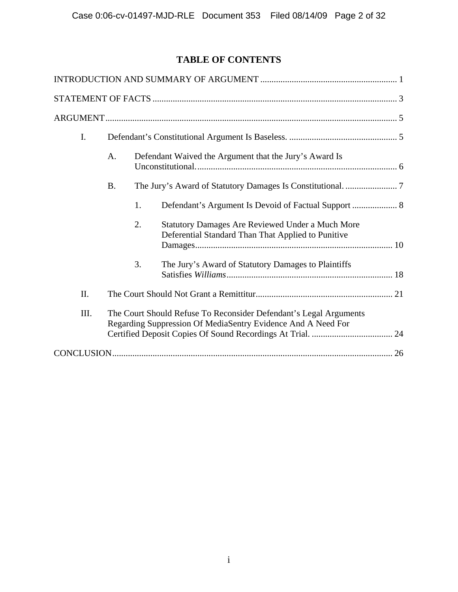# **TABLE OF CONTENTS**

| I.   |                                                                                                                                   |    |                                                                                                               |  |
|------|-----------------------------------------------------------------------------------------------------------------------------------|----|---------------------------------------------------------------------------------------------------------------|--|
|      | Defendant Waived the Argument that the Jury's Award Is<br>A.                                                                      |    |                                                                                                               |  |
|      | <b>B.</b>                                                                                                                         |    |                                                                                                               |  |
|      |                                                                                                                                   | 1. |                                                                                                               |  |
|      |                                                                                                                                   | 2. | <b>Statutory Damages Are Reviewed Under a Much More</b><br>Deferential Standard Than That Applied to Punitive |  |
|      |                                                                                                                                   | 3. | The Jury's Award of Statutory Damages to Plaintiffs                                                           |  |
| II.  |                                                                                                                                   |    |                                                                                                               |  |
| III. | The Court Should Refuse To Reconsider Defendant's Legal Arguments<br>Regarding Suppression Of MediaSentry Evidence And A Need For |    |                                                                                                               |  |
|      |                                                                                                                                   |    |                                                                                                               |  |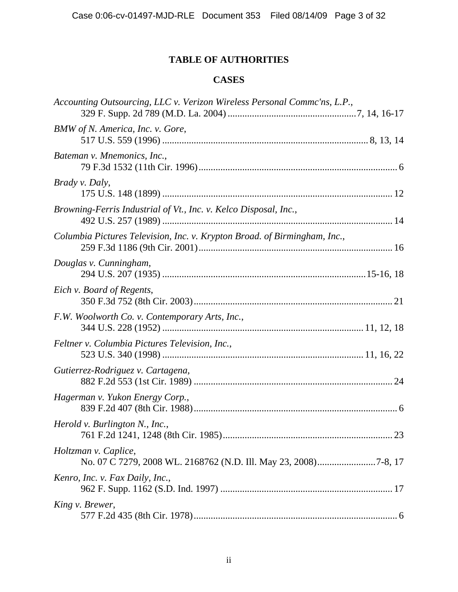# **TABLE OF AUTHORITIES**

# **CASES**

| Accounting Outsourcing, LLC v. Verizon Wireless Personal Commc'ns, L.P.,  |  |
|---------------------------------------------------------------------------|--|
| BMW of N. America, Inc. v. Gore,                                          |  |
| Bateman v. Mnemonics, Inc.,                                               |  |
| <i>Brady v. Daly,</i>                                                     |  |
| Browning-Ferris Industrial of Vt., Inc. v. Kelco Disposal, Inc.,          |  |
| Columbia Pictures Television, Inc. v. Krypton Broad. of Birmingham, Inc., |  |
| Douglas v. Cunningham,                                                    |  |
| Eich v. Board of Regents,                                                 |  |
| F.W. Woolworth Co. v. Contemporary Arts, Inc.,                            |  |
| Feltner v. Columbia Pictures Television, Inc.,                            |  |
| Gutierrez-Rodriguez v. Cartagena,                                         |  |
| Hagerman v. Yukon Energy Corp.,                                           |  |
| Herold v. Burlington N., Inc.,                                            |  |
| Holtzman v. Caplice,                                                      |  |
| Kenro, Inc. v. Fax Daily, Inc.,                                           |  |
| King v. Brewer,                                                           |  |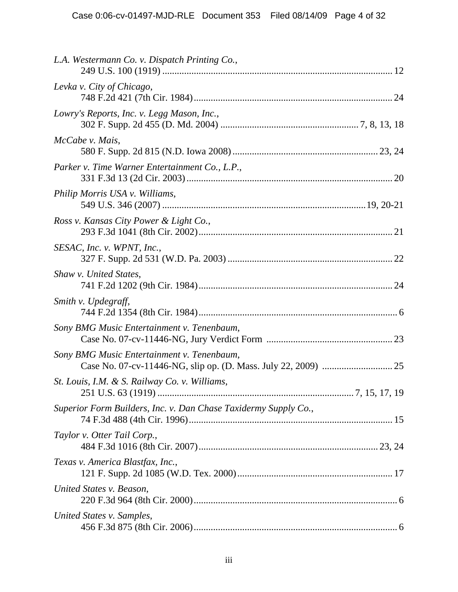| L.A. Westermann Co. v. Dispatch Printing Co.,                   |  |
|-----------------------------------------------------------------|--|
| Levka v. City of Chicago,                                       |  |
| Lowry's Reports, Inc. v. Legg Mason, Inc.,                      |  |
| McCabe v. Mais,                                                 |  |
| Parker v. Time Warner Entertainment Co., L.P.,                  |  |
| Philip Morris USA v. Williams,                                  |  |
| Ross v. Kansas City Power & Light Co.,                          |  |
| SESAC, Inc. v. WPNT, Inc.,                                      |  |
| Shaw v. United States,                                          |  |
| Smith v. Updegraff,                                             |  |
| Sony BMG Music Entertainment v. Tenenbaum,                      |  |
| Sony BMG Music Entertainment v. Tenenbaum,                      |  |
| St. Louis, I.M. & S. Railway Co. v. Williams,                   |  |
| Superior Form Builders, Inc. v. Dan Chase Taxidermy Supply Co., |  |
| Taylor v. Otter Tail Corp.,                                     |  |
| Texas v. America Blastfax, Inc.,                                |  |
| United States v. Beason,                                        |  |
| United States v. Samples,                                       |  |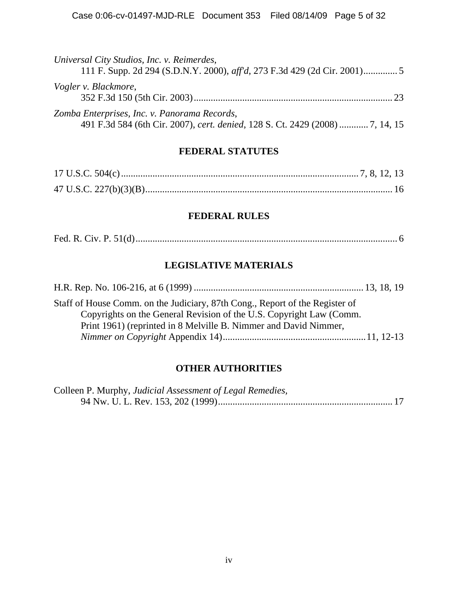| Universal City Studios, Inc. v. Reimerdes,                                                                                    |
|-------------------------------------------------------------------------------------------------------------------------------|
| Vogler v. Blackmore,<br>23                                                                                                    |
| Zomba Enterprises, Inc. v. Panorama Records,<br>491 F.3d 584 (6th Cir. 2007), cert. denied, 128 S. Ct. 2429 (2008)  7, 14, 15 |

## **FEDERAL STATUTES**

## **FEDERAL RULES**

|--|--|--|--|

# **LEGISLATIVE MATERIALS**

| Staff of House Comm. on the Judiciary, 87th Cong., Report of the Register of |  |
|------------------------------------------------------------------------------|--|
| Copyrights on the General Revision of the U.S. Copyright Law (Comm.          |  |
| Print 1961) (reprinted in 8 Melville B. Nimmer and David Nimmer,             |  |
|                                                                              |  |

## **OTHER AUTHORITIES**

| Colleen P. Murphy, Judicial Assessment of Legal Remedies, |  |
|-----------------------------------------------------------|--|
|                                                           |  |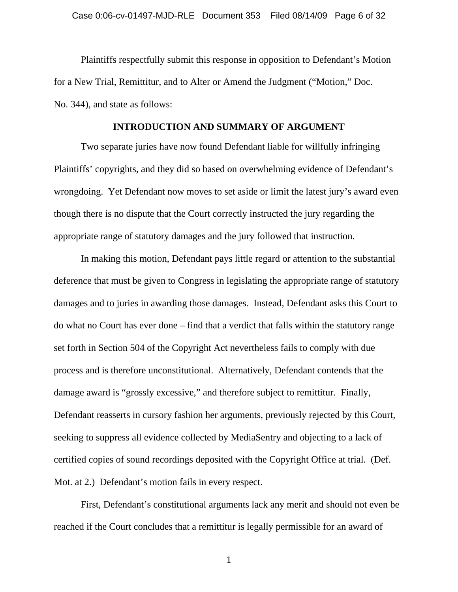Plaintiffs respectfully submit this response in opposition to Defendant's Motion for a New Trial, Remittitur, and to Alter or Amend the Judgment ("Motion," Doc. No. 344), and state as follows:

#### **INTRODUCTION AND SUMMARY OF ARGUMENT**

Two separate juries have now found Defendant liable for willfully infringing Plaintiffs' copyrights, and they did so based on overwhelming evidence of Defendant's wrongdoing. Yet Defendant now moves to set aside or limit the latest jury's award even though there is no dispute that the Court correctly instructed the jury regarding the appropriate range of statutory damages and the jury followed that instruction.

In making this motion, Defendant pays little regard or attention to the substantial deference that must be given to Congress in legislating the appropriate range of statutory damages and to juries in awarding those damages. Instead, Defendant asks this Court to do what no Court has ever done – find that a verdict that falls within the statutory range set forth in Section 504 of the Copyright Act nevertheless fails to comply with due process and is therefore unconstitutional. Alternatively, Defendant contends that the damage award is "grossly excessive," and therefore subject to remittitur. Finally, Defendant reasserts in cursory fashion her arguments, previously rejected by this Court, seeking to suppress all evidence collected by MediaSentry and objecting to a lack of certified copies of sound recordings deposited with the Copyright Office at trial. (Def. Mot. at 2.) Defendant's motion fails in every respect.

First, Defendant's constitutional arguments lack any merit and should not even be reached if the Court concludes that a remittitur is legally permissible for an award of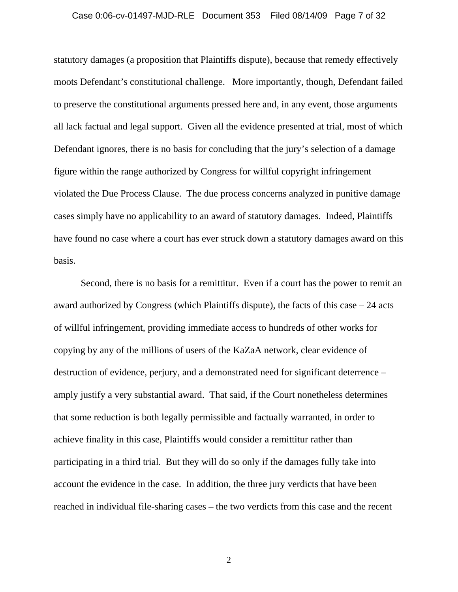#### Case 0:06-cv-01497-MJD-RLE Document 353 Filed 08/14/09 Page 7 of 32

statutory damages (a proposition that Plaintiffs dispute), because that remedy effectively moots Defendant's constitutional challenge. More importantly, though, Defendant failed to preserve the constitutional arguments pressed here and, in any event, those arguments all lack factual and legal support. Given all the evidence presented at trial, most of which Defendant ignores, there is no basis for concluding that the jury's selection of a damage figure within the range authorized by Congress for willful copyright infringement violated the Due Process Clause. The due process concerns analyzed in punitive damage cases simply have no applicability to an award of statutory damages. Indeed, Plaintiffs have found no case where a court has ever struck down a statutory damages award on this basis.

Second, there is no basis for a remittitur. Even if a court has the power to remit an award authorized by Congress (which Plaintiffs dispute), the facts of this case – 24 acts of willful infringement, providing immediate access to hundreds of other works for copying by any of the millions of users of the KaZaA network, clear evidence of destruction of evidence, perjury, and a demonstrated need for significant deterrence – amply justify a very substantial award. That said, if the Court nonetheless determines that some reduction is both legally permissible and factually warranted, in order to achieve finality in this case, Plaintiffs would consider a remittitur rather than participating in a third trial. But they will do so only if the damages fully take into account the evidence in the case. In addition, the three jury verdicts that have been reached in individual file-sharing cases – the two verdicts from this case and the recent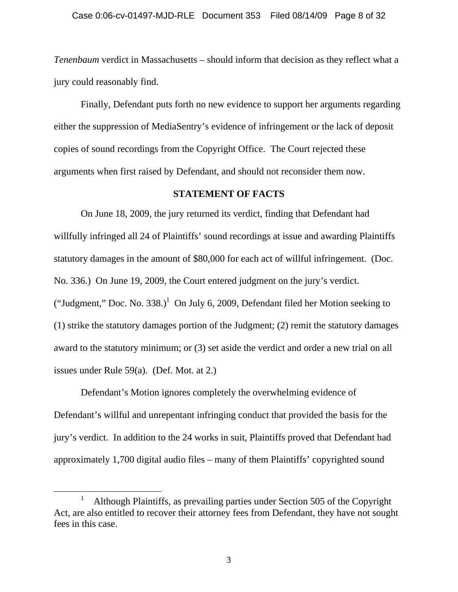*Tenenbaum* verdict in Massachusetts – should inform that decision as they reflect what a jury could reasonably find.

Finally, Defendant puts forth no new evidence to support her arguments regarding either the suppression of MediaSentry's evidence of infringement or the lack of deposit copies of sound recordings from the Copyright Office. The Court rejected these arguments when first raised by Defendant, and should not reconsider them now.

### **STATEMENT OF FACTS**

On June 18, 2009, the jury returned its verdict, finding that Defendant had willfully infringed all 24 of Plaintiffs' sound recordings at issue and awarding Plaintiffs statutory damages in the amount of \$80,000 for each act of willful infringement. (Doc. No. 336.) On June 19, 2009, the Court entered judgment on the jury's verdict. ("Judgment," Doc. No. 338.)<sup>1</sup> On July 6, 2009, Defendant filed her Motion seeking to (1) strike the statutory damages portion of the Judgment; (2) remit the statutory damages award to the statutory minimum; or (3) set aside the verdict and order a new trial on all issues under Rule 59(a). (Def. Mot. at 2.)

Defendant's Motion ignores completely the overwhelming evidence of Defendant's willful and unrepentant infringing conduct that provided the basis for the jury's verdict. In addition to the 24 works in suit, Plaintiffs proved that Defendant had approximately 1,700 digital audio files – many of them Plaintiffs' copyrighted sound

<sup>&</sup>lt;u>1</u> <sup>1</sup> Although Plaintiffs, as prevailing parties under Section 505 of the Copyright Act, are also entitled to recover their attorney fees from Defendant, they have not sought fees in this case.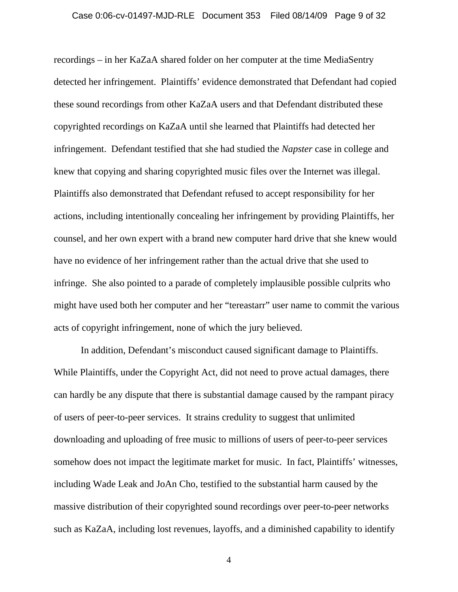recordings – in her KaZaA shared folder on her computer at the time MediaSentry detected her infringement. Plaintiffs' evidence demonstrated that Defendant had copied these sound recordings from other KaZaA users and that Defendant distributed these copyrighted recordings on KaZaA until she learned that Plaintiffs had detected her infringement. Defendant testified that she had studied the *Napster* case in college and knew that copying and sharing copyrighted music files over the Internet was illegal. Plaintiffs also demonstrated that Defendant refused to accept responsibility for her actions, including intentionally concealing her infringement by providing Plaintiffs, her counsel, and her own expert with a brand new computer hard drive that she knew would have no evidence of her infringement rather than the actual drive that she used to infringe. She also pointed to a parade of completely implausible possible culprits who might have used both her computer and her "tereastarr" user name to commit the various acts of copyright infringement, none of which the jury believed.

In addition, Defendant's misconduct caused significant damage to Plaintiffs. While Plaintiffs, under the Copyright Act, did not need to prove actual damages, there can hardly be any dispute that there is substantial damage caused by the rampant piracy of users of peer-to-peer services. It strains credulity to suggest that unlimited downloading and uploading of free music to millions of users of peer-to-peer services somehow does not impact the legitimate market for music. In fact, Plaintiffs' witnesses, including Wade Leak and JoAn Cho, testified to the substantial harm caused by the massive distribution of their copyrighted sound recordings over peer-to-peer networks such as KaZaA, including lost revenues, layoffs, and a diminished capability to identify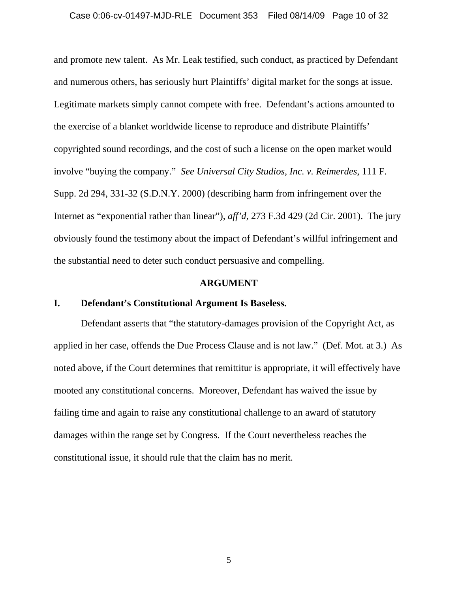and promote new talent. As Mr. Leak testified, such conduct, as practiced by Defendant and numerous others, has seriously hurt Plaintiffs' digital market for the songs at issue. Legitimate markets simply cannot compete with free. Defendant's actions amounted to the exercise of a blanket worldwide license to reproduce and distribute Plaintiffs' copyrighted sound recordings, and the cost of such a license on the open market would involve "buying the company." *See Universal City Studios, Inc. v. Reimerdes*, 111 F. Supp. 2d 294, 331-32 (S.D.N.Y. 2000) (describing harm from infringement over the Internet as "exponential rather than linear"), *aff'd*, 273 F.3d 429 (2d Cir. 2001). The jury obviously found the testimony about the impact of Defendant's willful infringement and the substantial need to deter such conduct persuasive and compelling.

#### **ARGUMENT**

### **I. Defendant's Constitutional Argument Is Baseless.**

Defendant asserts that "the statutory-damages provision of the Copyright Act, as applied in her case, offends the Due Process Clause and is not law." (Def. Mot. at 3.) As noted above, if the Court determines that remittitur is appropriate, it will effectively have mooted any constitutional concerns. Moreover, Defendant has waived the issue by failing time and again to raise any constitutional challenge to an award of statutory damages within the range set by Congress. If the Court nevertheless reaches the constitutional issue, it should rule that the claim has no merit.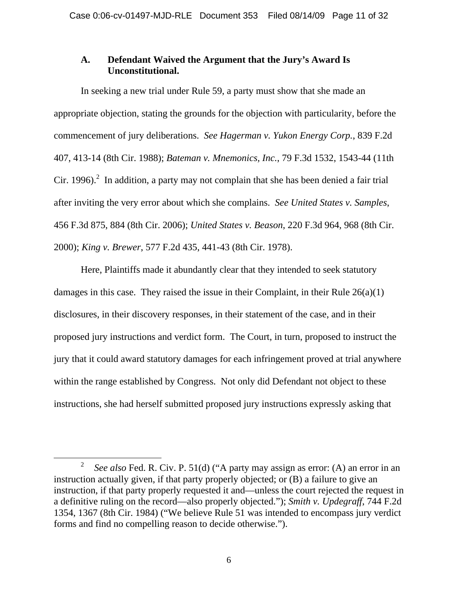## **A. Defendant Waived the Argument that the Jury's Award Is Unconstitutional.**

In seeking a new trial under Rule 59, a party must show that she made an appropriate objection, stating the grounds for the objection with particularity, before the commencement of jury deliberations. *See Hagerman v. Yukon Energy Corp.*, 839 F.2d 407, 413-14 (8th Cir. 1988); *Bateman v. Mnemonics, Inc.*, 79 F.3d 1532, 1543-44 (11th Cir. 1996).<sup>2</sup> In addition, a party may not complain that she has been denied a fair trial after inviting the very error about which she complains. *See United States v. Samples*, 456 F.3d 875, 884 (8th Cir. 2006); *United States v. Beason*, 220 F.3d 964, 968 (8th Cir. 2000); *King v. Brewer*, 577 F.2d 435, 441-43 (8th Cir. 1978).

Here, Plaintiffs made it abundantly clear that they intended to seek statutory damages in this case. They raised the issue in their Complaint, in their Rule 26(a)(1) disclosures, in their discovery responses, in their statement of the case, and in their proposed jury instructions and verdict form. The Court, in turn, proposed to instruct the jury that it could award statutory damages for each infringement proved at trial anywhere within the range established by Congress. Not only did Defendant not object to these instructions, she had herself submitted proposed jury instructions expressly asking that

 $\overline{\ }$  2 <sup>2</sup> See also Fed. R. Civ. P. 51(d) ("A party may assign as error: (A) an error in an instruction actually given, if that party properly objected; or (B) a failure to give an instruction, if that party properly requested it and—unless the court rejected the request in a definitive ruling on the record—also properly objected."); *Smith v. Updegraff*, 744 F.2d 1354, 1367 (8th Cir. 1984) ("We believe Rule 51 was intended to encompass jury verdict forms and find no compelling reason to decide otherwise.").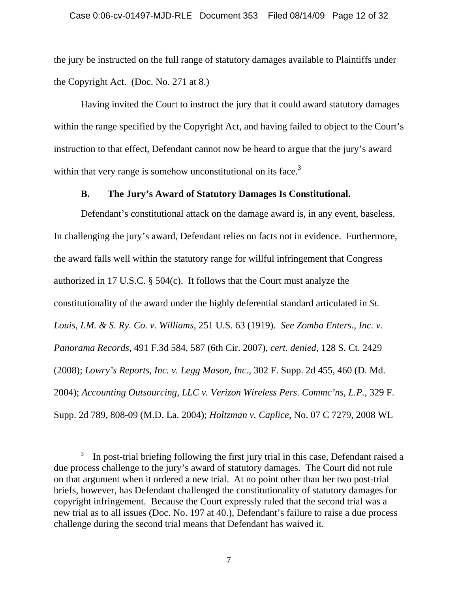the jury be instructed on the full range of statutory damages available to Plaintiffs under the Copyright Act. (Doc. No. 271 at 8.)

Having invited the Court to instruct the jury that it could award statutory damages within the range specified by the Copyright Act, and having failed to object to the Court's instruction to that effect, Defendant cannot now be heard to argue that the jury's award within that very range is somehow unconstitutional on its face.<sup>3</sup>

## **B. The Jury's Award of Statutory Damages Is Constitutional.**

Defendant's constitutional attack on the damage award is, in any event, baseless. In challenging the jury's award, Defendant relies on facts not in evidence. Furthermore, the award falls well within the statutory range for willful infringement that Congress authorized in 17 U.S.C. § 504(c). It follows that the Court must analyze the constitutionality of the award under the highly deferential standard articulated in *St. Louis, I.M. & S. Ry. Co. v. Williams*, 251 U.S. 63 (1919). *See Zomba Enters., Inc. v. Panorama Records*, 491 F.3d 584, 587 (6th Cir. 2007), *cert. denied*, 128 S. Ct. 2429 (2008); *Lowry's Reports, Inc. v. Legg Mason, Inc.*, 302 F. Supp. 2d 455, 460 (D. Md. 2004); *Accounting Outsourcing, LLC v. Verizon Wireless Pers. Commc'ns, L.P.*, 329 F. Supp. 2d 789, 808-09 (M.D. La. 2004); *Holtzman v. Caplice*, No. 07 C 7279, 2008 WL

 $\frac{1}{3}$  $\frac{3}{10}$  In post-trial briefing following the first jury trial in this case, Defendant raised a due process challenge to the jury's award of statutory damages. The Court did not rule on that argument when it ordered a new trial. At no point other than her two post-trial briefs, however, has Defendant challenged the constitutionality of statutory damages for copyright infringement. Because the Court expressly ruled that the second trial was a new trial as to all issues (Doc. No. 197 at 40.), Defendant's failure to raise a due process challenge during the second trial means that Defendant has waived it.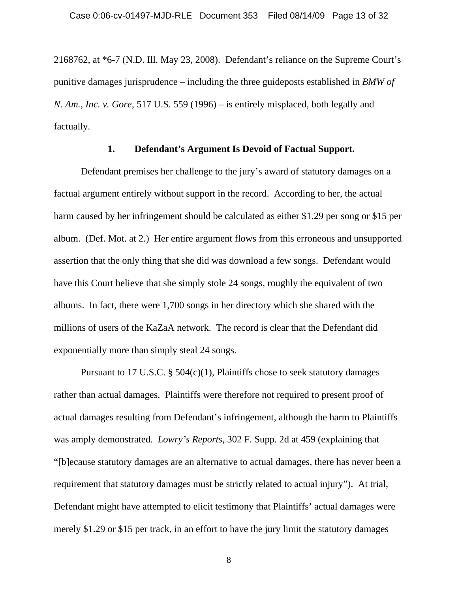2168762, at \*6-7 (N.D. Ill. May 23, 2008). Defendant's reliance on the Supreme Court's punitive damages jurisprudence – including the three guideposts established in *BMW of N. Am., Inc. v. Gore*, 517 U.S. 559 (1996) – is entirely misplaced, both legally and factually.

### **1. Defendant's Argument Is Devoid of Factual Support.**

Defendant premises her challenge to the jury's award of statutory damages on a factual argument entirely without support in the record. According to her, the actual harm caused by her infringement should be calculated as either \$1.29 per song or \$15 per album. (Def. Mot. at 2.) Her entire argument flows from this erroneous and unsupported assertion that the only thing that she did was download a few songs. Defendant would have this Court believe that she simply stole 24 songs, roughly the equivalent of two albums. In fact, there were 1,700 songs in her directory which she shared with the millions of users of the KaZaA network. The record is clear that the Defendant did exponentially more than simply steal 24 songs.

Pursuant to 17 U.S.C.  $\S$  504(c)(1), Plaintiffs chose to seek statutory damages rather than actual damages. Plaintiffs were therefore not required to present proof of actual damages resulting from Defendant's infringement, although the harm to Plaintiffs was amply demonstrated. *Lowry's Reports*, 302 F. Supp. 2d at 459 (explaining that "[b]ecause statutory damages are an alternative to actual damages, there has never been a requirement that statutory damages must be strictly related to actual injury"). At trial, Defendant might have attempted to elicit testimony that Plaintiffs' actual damages were merely \$1.29 or \$15 per track, in an effort to have the jury limit the statutory damages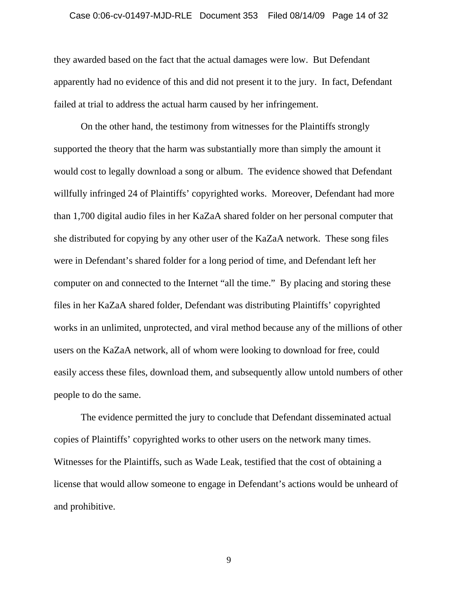#### Case 0:06-cv-01497-MJD-RLE Document 353 Filed 08/14/09 Page 14 of 32

they awarded based on the fact that the actual damages were low. But Defendant apparently had no evidence of this and did not present it to the jury. In fact, Defendant failed at trial to address the actual harm caused by her infringement.

 On the other hand, the testimony from witnesses for the Plaintiffs strongly supported the theory that the harm was substantially more than simply the amount it would cost to legally download a song or album. The evidence showed that Defendant willfully infringed 24 of Plaintiffs' copyrighted works. Moreover, Defendant had more than 1,700 digital audio files in her KaZaA shared folder on her personal computer that she distributed for copying by any other user of the KaZaA network. These song files were in Defendant's shared folder for a long period of time, and Defendant left her computer on and connected to the Internet "all the time." By placing and storing these files in her KaZaA shared folder, Defendant was distributing Plaintiffs' copyrighted works in an unlimited, unprotected, and viral method because any of the millions of other users on the KaZaA network, all of whom were looking to download for free, could easily access these files, download them, and subsequently allow untold numbers of other people to do the same.

 The evidence permitted the jury to conclude that Defendant disseminated actual copies of Plaintiffs' copyrighted works to other users on the network many times. Witnesses for the Plaintiffs, such as Wade Leak, testified that the cost of obtaining a license that would allow someone to engage in Defendant's actions would be unheard of and prohibitive.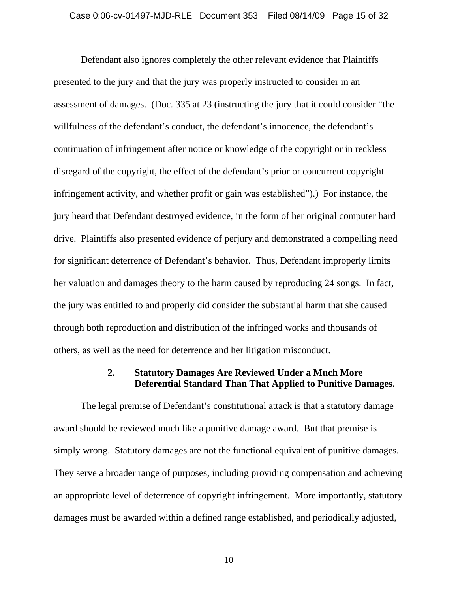Defendant also ignores completely the other relevant evidence that Plaintiffs presented to the jury and that the jury was properly instructed to consider in an assessment of damages. (Doc. 335 at 23 (instructing the jury that it could consider "the willfulness of the defendant's conduct, the defendant's innocence, the defendant's continuation of infringement after notice or knowledge of the copyright or in reckless disregard of the copyright, the effect of the defendant's prior or concurrent copyright infringement activity, and whether profit or gain was established").) For instance, the jury heard that Defendant destroyed evidence, in the form of her original computer hard drive. Plaintiffs also presented evidence of perjury and demonstrated a compelling need for significant deterrence of Defendant's behavior. Thus, Defendant improperly limits her valuation and damages theory to the harm caused by reproducing 24 songs. In fact, the jury was entitled to and properly did consider the substantial harm that she caused through both reproduction and distribution of the infringed works and thousands of others, as well as the need for deterrence and her litigation misconduct.

## **2. Statutory Damages Are Reviewed Under a Much More Deferential Standard Than That Applied to Punitive Damages.**

The legal premise of Defendant's constitutional attack is that a statutory damage award should be reviewed much like a punitive damage award. But that premise is simply wrong. Statutory damages are not the functional equivalent of punitive damages. They serve a broader range of purposes, including providing compensation and achieving an appropriate level of deterrence of copyright infringement. More importantly, statutory damages must be awarded within a defined range established, and periodically adjusted,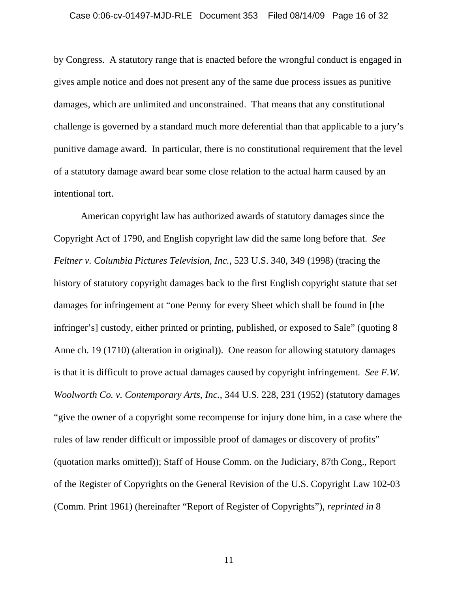by Congress. A statutory range that is enacted before the wrongful conduct is engaged in gives ample notice and does not present any of the same due process issues as punitive damages, which are unlimited and unconstrained. That means that any constitutional challenge is governed by a standard much more deferential than that applicable to a jury's punitive damage award. In particular, there is no constitutional requirement that the level of a statutory damage award bear some close relation to the actual harm caused by an intentional tort.

American copyright law has authorized awards of statutory damages since the Copyright Act of 1790, and English copyright law did the same long before that. *See Feltner v. Columbia Pictures Television, Inc.*, 523 U.S. 340, 349 (1998) (tracing the history of statutory copyright damages back to the first English copyright statute that set damages for infringement at "one Penny for every Sheet which shall be found in [the infringer's] custody, either printed or printing, published, or exposed to Sale" (quoting 8 Anne ch. 19 (1710) (alteration in original)). One reason for allowing statutory damages is that it is difficult to prove actual damages caused by copyright infringement. *See F.W. Woolworth Co. v. Contemporary Arts, Inc.*, 344 U.S. 228, 231 (1952) (statutory damages "give the owner of a copyright some recompense for injury done him, in a case where the rules of law render difficult or impossible proof of damages or discovery of profits" (quotation marks omitted)); Staff of House Comm. on the Judiciary, 87th Cong., Report of the Register of Copyrights on the General Revision of the U.S. Copyright Law 102-03 (Comm. Print 1961) (hereinafter "Report of Register of Copyrights"), *reprinted in* 8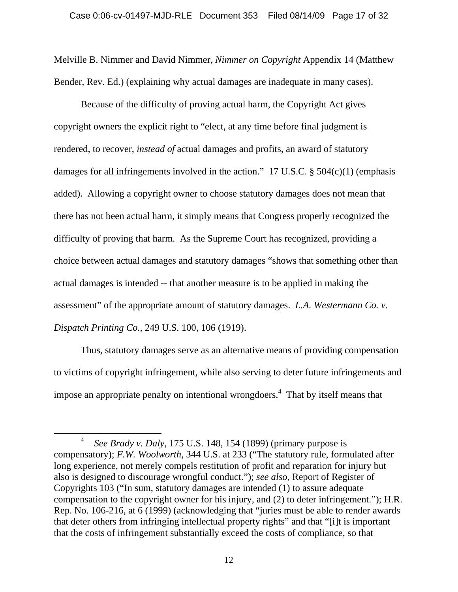Melville B. Nimmer and David Nimmer, *Nimmer on Copyright* Appendix 14 (Matthew Bender, Rev. Ed.) (explaining why actual damages are inadequate in many cases).

Because of the difficulty of proving actual harm, the Copyright Act gives copyright owners the explicit right to "elect, at any time before final judgment is rendered, to recover, *instead of* actual damages and profits, an award of statutory damages for all infringements involved in the action." 17 U.S.C. § 504(c)(1) (emphasis added). Allowing a copyright owner to choose statutory damages does not mean that there has not been actual harm, it simply means that Congress properly recognized the difficulty of proving that harm. As the Supreme Court has recognized, providing a choice between actual damages and statutory damages "shows that something other than actual damages is intended -- that another measure is to be applied in making the assessment" of the appropriate amount of statutory damages. *L.A. Westermann Co. v. Dispatch Printing Co.*, 249 U.S. 100, 106 (1919).

Thus, statutory damages serve as an alternative means of providing compensation to victims of copyright infringement, while also serving to deter future infringements and impose an appropriate penalty on intentional wrongdoers.<sup>4</sup> That by itself means that

 <sup>4</sup> *See Brady v. Daly*, 175 U.S. 148, 154 (1899) (primary purpose is compensatory); *F.W. Woolworth*, 344 U.S. at 233 ("The statutory rule, formulated after long experience, not merely compels restitution of profit and reparation for injury but also is designed to discourage wrongful conduct."); *see also*, Report of Register of Copyrights 103 ("In sum, statutory damages are intended (1) to assure adequate compensation to the copyright owner for his injury, and (2) to deter infringement."); H.R. Rep. No. 106-216, at 6 (1999) (acknowledging that "juries must be able to render awards that deter others from infringing intellectual property rights" and that "[i]t is important that the costs of infringement substantially exceed the costs of compliance, so that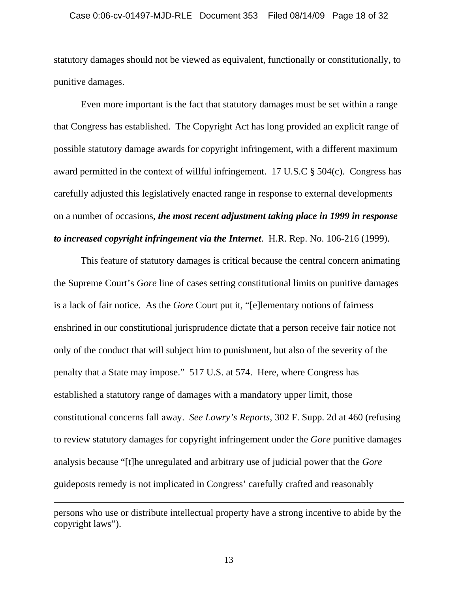#### Case 0:06-cv-01497-MJD-RLE Document 353 Filed 08/14/09 Page 18 of 32

statutory damages should not be viewed as equivalent, functionally or constitutionally, to punitive damages.

Even more important is the fact that statutory damages must be set within a range that Congress has established. The Copyright Act has long provided an explicit range of possible statutory damage awards for copyright infringement, with a different maximum award permitted in the context of willful infringement. 17 U.S.C § 504(c). Congress has carefully adjusted this legislatively enacted range in response to external developments on a number of occasions, *the most recent adjustment taking place in 1999 in response to increased copyright infringement via the Internet*. H.R. Rep. No. 106-216 (1999).

This feature of statutory damages is critical because the central concern animating the Supreme Court's *Gore* line of cases setting constitutional limits on punitive damages is a lack of fair notice. As the *Gore* Court put it, "[e]lementary notions of fairness enshrined in our constitutional jurisprudence dictate that a person receive fair notice not only of the conduct that will subject him to punishment, but also of the severity of the penalty that a State may impose." 517 U.S. at 574. Here, where Congress has established a statutory range of damages with a mandatory upper limit, those constitutional concerns fall away. *See Lowry's Reports*, 302 F. Supp. 2d at 460 (refusing to review statutory damages for copyright infringement under the *Gore* punitive damages analysis because "[t]he unregulated and arbitrary use of judicial power that the *Gore* guideposts remedy is not implicated in Congress' carefully crafted and reasonably

 $\overline{a}$ 

persons who use or distribute intellectual property have a strong incentive to abide by the copyright laws").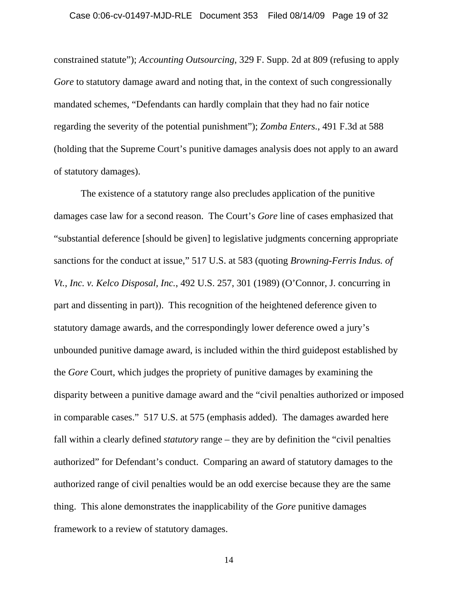constrained statute"); *Accounting Outsourcing*, 329 F. Supp. 2d at 809 (refusing to apply *Gore* to statutory damage award and noting that, in the context of such congressionally mandated schemes, "Defendants can hardly complain that they had no fair notice regarding the severity of the potential punishment"); *Zomba Enters.*, 491 F.3d at 588 (holding that the Supreme Court's punitive damages analysis does not apply to an award of statutory damages).

The existence of a statutory range also precludes application of the punitive damages case law for a second reason. The Court's *Gore* line of cases emphasized that "substantial deference [should be given] to legislative judgments concerning appropriate sanctions for the conduct at issue," 517 U.S. at 583 (quoting *Browning-Ferris Indus. of Vt., Inc. v. Kelco Disposal, Inc.*, 492 U.S. 257, 301 (1989) (O'Connor, J. concurring in part and dissenting in part)). This recognition of the heightened deference given to statutory damage awards, and the correspondingly lower deference owed a jury's unbounded punitive damage award, is included within the third guidepost established by the *Gore* Court, which judges the propriety of punitive damages by examining the disparity between a punitive damage award and the "civil penalties authorized or imposed in comparable cases." 517 U.S. at 575 (emphasis added). The damages awarded here fall within a clearly defined *statutory* range – they are by definition the "civil penalties authorized" for Defendant's conduct. Comparing an award of statutory damages to the authorized range of civil penalties would be an odd exercise because they are the same thing. This alone demonstrates the inapplicability of the *Gore* punitive damages framework to a review of statutory damages.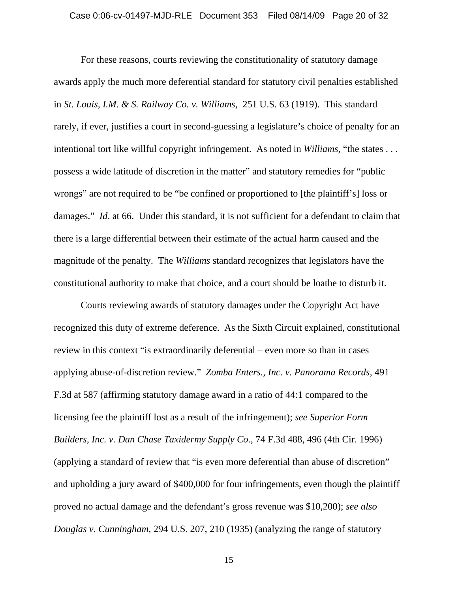For these reasons, courts reviewing the constitutionality of statutory damage awards apply the much more deferential standard for statutory civil penalties established in *St. Louis, I.M. & S. Railway Co. v. Williams*, 251 U.S. 63 (1919). This standard rarely, if ever, justifies a court in second-guessing a legislature's choice of penalty for an intentional tort like willful copyright infringement. As noted in *Williams*, "the states . . . possess a wide latitude of discretion in the matter" and statutory remedies for "public wrongs" are not required to be "be confined or proportioned to [the plaintiff's] loss or damages." *Id.* at 66. Under this standard, it is not sufficient for a defendant to claim that there is a large differential between their estimate of the actual harm caused and the magnitude of the penalty. The *Williams* standard recognizes that legislators have the constitutional authority to make that choice, and a court should be loathe to disturb it.

Courts reviewing awards of statutory damages under the Copyright Act have recognized this duty of extreme deference. As the Sixth Circuit explained, constitutional review in this context "is extraordinarily deferential – even more so than in cases applying abuse-of-discretion review." *Zomba Enters., Inc. v. Panorama Records*, 491 F.3d at 587 (affirming statutory damage award in a ratio of 44:1 compared to the licensing fee the plaintiff lost as a result of the infringement); *see Superior Form Builders, Inc. v. Dan Chase Taxidermy Supply Co.*, 74 F.3d 488, 496 (4th Cir. 1996) (applying a standard of review that "is even more deferential than abuse of discretion" and upholding a jury award of \$400,000 for four infringements, even though the plaintiff proved no actual damage and the defendant's gross revenue was \$10,200); *see also Douglas v. Cunningham*, 294 U.S. 207, 210 (1935) (analyzing the range of statutory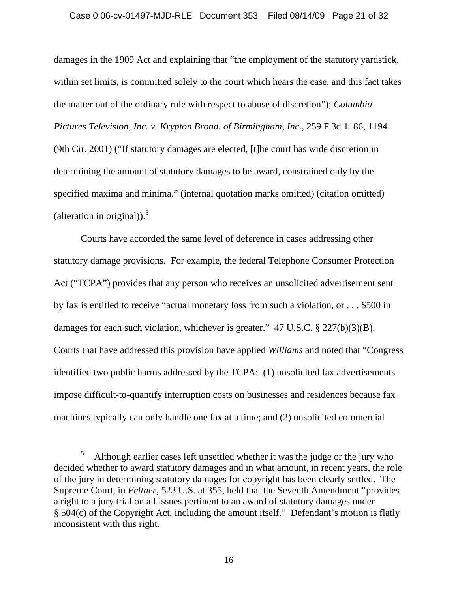#### Case 0:06-cv-01497-MJD-RLE Document 353 Filed 08/14/09 Page 21 of 32

damages in the 1909 Act and explaining that "the employment of the statutory yardstick, within set limits, is committed solely to the court which hears the case, and this fact takes the matter out of the ordinary rule with respect to abuse of discretion"); *Columbia Pictures Television, Inc. v. Krypton Broad. of Birmingham, Inc.*, 259 F.3d 1186, 1194 (9th Cir. 2001) ("If statutory damages are elected, [t]he court has wide discretion in determining the amount of statutory damages to be award, constrained only by the specified maxima and minima." (internal quotation marks omitted) (citation omitted) (alteration in original)). $5$ 

Courts have accorded the same level of deference in cases addressing other statutory damage provisions. For example, the federal Telephone Consumer Protection Act ("TCPA") provides that any person who receives an unsolicited advertisement sent by fax is entitled to receive "actual monetary loss from such a violation, or . . . \$500 in damages for each such violation, whichever is greater." 47 U.S.C. § 227(b)(3)(B). Courts that have addressed this provision have applied *Williams* and noted that "Congress identified two public harms addressed by the TCPA: (1) unsolicited fax advertisements impose difficult-to-quantify interruption costs on businesses and residences because fax machines typically can only handle one fax at a time; and (2) unsolicited commercial

 $\frac{1}{5}$ <sup>5</sup> Although earlier cases left unsettled whether it was the judge or the jury who decided whether to award statutory damages and in what amount, in recent years, the role of the jury in determining statutory damages for copyright has been clearly settled. The Supreme Court, in *Feltner*, 523 U.S. at 355, held that the Seventh Amendment "provides a right to a jury trial on all issues pertinent to an award of statutory damages under § 504(c) of the Copyright Act, including the amount itself." Defendant's motion is flatly inconsistent with this right.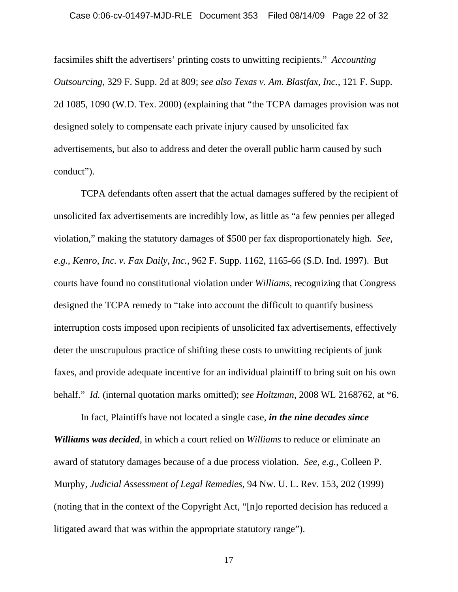#### Case 0:06-cv-01497-MJD-RLE Document 353 Filed 08/14/09 Page 22 of 32

facsimiles shift the advertisers' printing costs to unwitting recipients." *Accounting Outsourcing*, 329 F. Supp. 2d at 809; *see also Texas v. Am. Blastfax, Inc.*, 121 F. Supp. 2d 1085, 1090 (W.D. Tex. 2000) (explaining that "the TCPA damages provision was not designed solely to compensate each private injury caused by unsolicited fax advertisements, but also to address and deter the overall public harm caused by such conduct").

TCPA defendants often assert that the actual damages suffered by the recipient of unsolicited fax advertisements are incredibly low, as little as "a few pennies per alleged violation," making the statutory damages of \$500 per fax disproportionately high. *See, e.g.*, *Kenro, Inc. v. Fax Daily, Inc.*, 962 F. Supp. 1162, 1165-66 (S.D. Ind. 1997). But courts have found no constitutional violation under *Williams*, recognizing that Congress designed the TCPA remedy to "take into account the difficult to quantify business interruption costs imposed upon recipients of unsolicited fax advertisements, effectively deter the unscrupulous practice of shifting these costs to unwitting recipients of junk faxes, and provide adequate incentive for an individual plaintiff to bring suit on his own behalf." *Id.* (internal quotation marks omitted); *see Holtzman*, 2008 WL 2168762, at \*6.

In fact, Plaintiffs have not located a single case, *in the nine decades since Williams was decided*, in which a court relied on *Williams* to reduce or eliminate an award of statutory damages because of a due process violation. *See*, *e.g.*, Colleen P. Murphy, *Judicial Assessment of Legal Remedies*, 94 Nw. U. L. Rev. 153, 202 (1999) (noting that in the context of the Copyright Act, "[n]o reported decision has reduced a litigated award that was within the appropriate statutory range").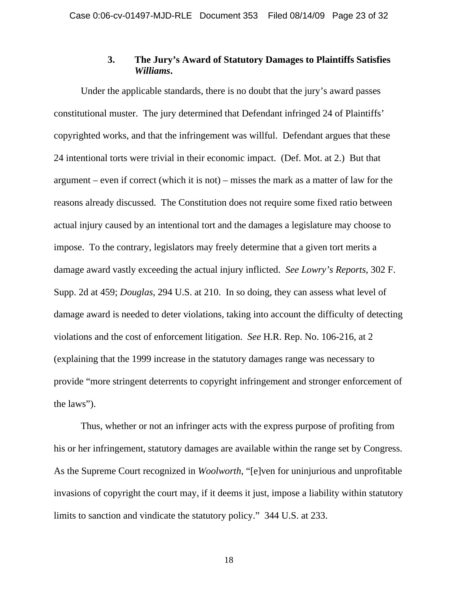## **3. The Jury's Award of Statutory Damages to Plaintiffs Satisfies**  *Williams***.**

Under the applicable standards, there is no doubt that the jury's award passes constitutional muster. The jury determined that Defendant infringed 24 of Plaintiffs' copyrighted works, and that the infringement was willful. Defendant argues that these 24 intentional torts were trivial in their economic impact. (Def. Mot. at 2.) But that argument – even if correct (which it is not) – misses the mark as a matter of law for the reasons already discussed. The Constitution does not require some fixed ratio between actual injury caused by an intentional tort and the damages a legislature may choose to impose. To the contrary, legislators may freely determine that a given tort merits a damage award vastly exceeding the actual injury inflicted. *See Lowry's Reports*, 302 F. Supp. 2d at 459; *Douglas*, 294 U.S. at 210. In so doing, they can assess what level of damage award is needed to deter violations, taking into account the difficulty of detecting violations and the cost of enforcement litigation. *See* H.R. Rep. No. 106-216, at 2 (explaining that the 1999 increase in the statutory damages range was necessary to provide "more stringent deterrents to copyright infringement and stronger enforcement of the laws").

Thus, whether or not an infringer acts with the express purpose of profiting from his or her infringement, statutory damages are available within the range set by Congress. As the Supreme Court recognized in *Woolworth*, "[e]ven for uninjurious and unprofitable invasions of copyright the court may, if it deems it just, impose a liability within statutory limits to sanction and vindicate the statutory policy." 344 U.S. at 233.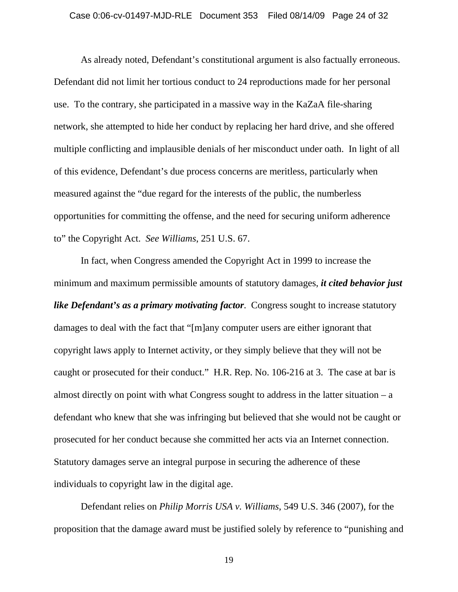As already noted, Defendant's constitutional argument is also factually erroneous. Defendant did not limit her tortious conduct to 24 reproductions made for her personal use. To the contrary, she participated in a massive way in the KaZaA file-sharing network, she attempted to hide her conduct by replacing her hard drive, and she offered multiple conflicting and implausible denials of her misconduct under oath. In light of all of this evidence, Defendant's due process concerns are meritless, particularly when measured against the "due regard for the interests of the public, the numberless opportunities for committing the offense, and the need for securing uniform adherence to" the Copyright Act. *See Williams*, 251 U.S. 67.

In fact, when Congress amended the Copyright Act in 1999 to increase the minimum and maximum permissible amounts of statutory damages, *it cited behavior just like Defendant's as a primary motivating factor.* Congress sought to increase statutory damages to deal with the fact that "[m]any computer users are either ignorant that copyright laws apply to Internet activity, or they simply believe that they will not be caught or prosecuted for their conduct." H.R. Rep. No. 106-216 at 3. The case at bar is almost directly on point with what Congress sought to address in the latter situation – a defendant who knew that she was infringing but believed that she would not be caught or prosecuted for her conduct because she committed her acts via an Internet connection. Statutory damages serve an integral purpose in securing the adherence of these individuals to copyright law in the digital age.

Defendant relies on *Philip Morris USA v. Williams*, 549 U.S. 346 (2007), for the proposition that the damage award must be justified solely by reference to "punishing and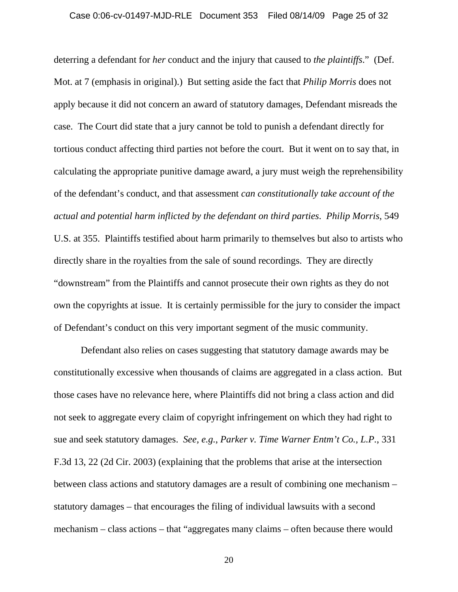deterring a defendant for *her* conduct and the injury that caused to *the plaintiffs*." (Def. Mot. at 7 (emphasis in original).) But setting aside the fact that *Philip Morris* does not apply because it did not concern an award of statutory damages, Defendant misreads the case. The Court did state that a jury cannot be told to punish a defendant directly for tortious conduct affecting third parties not before the court. But it went on to say that, in calculating the appropriate punitive damage award, a jury must weigh the reprehensibility of the defendant's conduct, and that assessment *can constitutionally take account of the actual and potential harm inflicted by the defendant on third parties*. *Philip Morris*, 549 U.S. at 355. Plaintiffs testified about harm primarily to themselves but also to artists who directly share in the royalties from the sale of sound recordings. They are directly "downstream" from the Plaintiffs and cannot prosecute their own rights as they do not own the copyrights at issue. It is certainly permissible for the jury to consider the impact of Defendant's conduct on this very important segment of the music community.

Defendant also relies on cases suggesting that statutory damage awards may be constitutionally excessive when thousands of claims are aggregated in a class action. But those cases have no relevance here, where Plaintiffs did not bring a class action and did not seek to aggregate every claim of copyright infringement on which they had right to sue and seek statutory damages. *See, e.g.*, *Parker v. Time Warner Entm't Co., L.P.*, 331 F.3d 13, 22 (2d Cir. 2003) (explaining that the problems that arise at the intersection between class actions and statutory damages are a result of combining one mechanism – statutory damages – that encourages the filing of individual lawsuits with a second mechanism – class actions – that "aggregates many claims – often because there would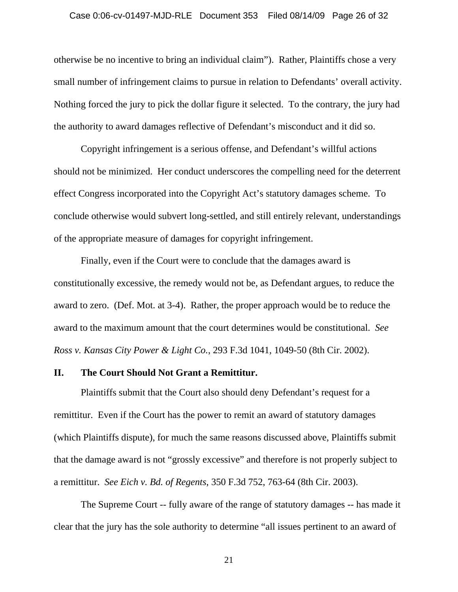otherwise be no incentive to bring an individual claim"). Rather, Plaintiffs chose a very small number of infringement claims to pursue in relation to Defendants' overall activity. Nothing forced the jury to pick the dollar figure it selected. To the contrary, the jury had the authority to award damages reflective of Defendant's misconduct and it did so.

Copyright infringement is a serious offense, and Defendant's willful actions should not be minimized. Her conduct underscores the compelling need for the deterrent effect Congress incorporated into the Copyright Act's statutory damages scheme. To conclude otherwise would subvert long-settled, and still entirely relevant, understandings of the appropriate measure of damages for copyright infringement.

Finally, even if the Court were to conclude that the damages award is constitutionally excessive, the remedy would not be, as Defendant argues, to reduce the award to zero. (Def. Mot. at 3-4). Rather, the proper approach would be to reduce the award to the maximum amount that the court determines would be constitutional. *See Ross v. Kansas City Power & Light Co.*, 293 F.3d 1041, 1049-50 (8th Cir. 2002).

### **II. The Court Should Not Grant a Remittitur.**

Plaintiffs submit that the Court also should deny Defendant's request for a remittitur. Even if the Court has the power to remit an award of statutory damages (which Plaintiffs dispute), for much the same reasons discussed above, Plaintiffs submit that the damage award is not "grossly excessive" and therefore is not properly subject to a remittitur. *See Eich v. Bd. of Regents*, 350 F.3d 752, 763-64 (8th Cir. 2003).

The Supreme Court -- fully aware of the range of statutory damages -- has made it clear that the jury has the sole authority to determine "all issues pertinent to an award of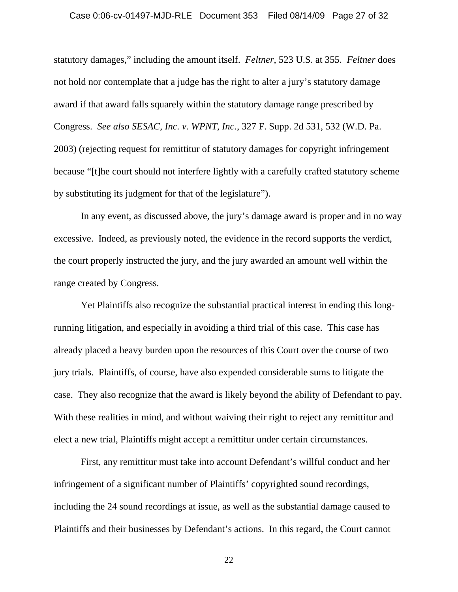#### Case 0:06-cv-01497-MJD-RLE Document 353 Filed 08/14/09 Page 27 of 32

statutory damages," including the amount itself. *Feltner*, 523 U.S. at 355. *Feltner* does not hold nor contemplate that a judge has the right to alter a jury's statutory damage award if that award falls squarely within the statutory damage range prescribed by Congress. *See also SESAC, Inc. v. WPNT, Inc.*, 327 F. Supp. 2d 531, 532 (W.D. Pa. 2003) (rejecting request for remittitur of statutory damages for copyright infringement because "[t]he court should not interfere lightly with a carefully crafted statutory scheme by substituting its judgment for that of the legislature").

In any event, as discussed above, the jury's damage award is proper and in no way excessive. Indeed, as previously noted, the evidence in the record supports the verdict, the court properly instructed the jury, and the jury awarded an amount well within the range created by Congress.

Yet Plaintiffs also recognize the substantial practical interest in ending this longrunning litigation, and especially in avoiding a third trial of this case. This case has already placed a heavy burden upon the resources of this Court over the course of two jury trials. Plaintiffs, of course, have also expended considerable sums to litigate the case. They also recognize that the award is likely beyond the ability of Defendant to pay. With these realities in mind, and without waiving their right to reject any remittitur and elect a new trial, Plaintiffs might accept a remittitur under certain circumstances.

First, any remittitur must take into account Defendant's willful conduct and her infringement of a significant number of Plaintiffs' copyrighted sound recordings, including the 24 sound recordings at issue, as well as the substantial damage caused to Plaintiffs and their businesses by Defendant's actions. In this regard, the Court cannot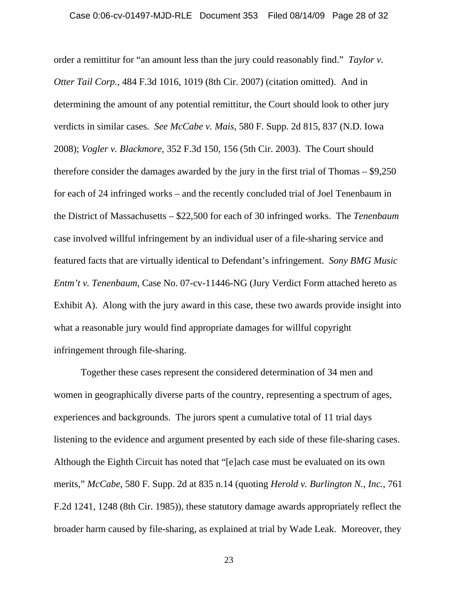order a remittitur for "an amount less than the jury could reasonably find." *Taylor v. Otter Tail Corp.*, 484 F.3d 1016, 1019 (8th Cir. 2007) (citation omitted). And in determining the amount of any potential remittitur, the Court should look to other jury verdicts in similar cases. *See McCabe v. Mais*, 580 F. Supp. 2d 815, 837 (N.D. Iowa 2008); *Vogler v. Blackmore*, 352 F.3d 150, 156 (5th Cir. 2003). The Court should therefore consider the damages awarded by the jury in the first trial of Thomas – \$9,250 for each of 24 infringed works – and the recently concluded trial of Joel Tenenbaum in the District of Massachusetts – \$22,500 for each of 30 infringed works. The *Tenenbaum* case involved willful infringement by an individual user of a file-sharing service and featured facts that are virtually identical to Defendant's infringement. *Sony BMG Music Entm't v. Tenenbaum*, Case No. 07-cv-11446-NG (Jury Verdict Form attached hereto as Exhibit A). Along with the jury award in this case, these two awards provide insight into what a reasonable jury would find appropriate damages for willful copyright infringement through file-sharing.

Together these cases represent the considered determination of 34 men and women in geographically diverse parts of the country, representing a spectrum of ages, experiences and backgrounds. The jurors spent a cumulative total of 11 trial days listening to the evidence and argument presented by each side of these file-sharing cases. Although the Eighth Circuit has noted that "[e]ach case must be evaluated on its own merits," *McCabe*, 580 F. Supp. 2d at 835 n.14 (quoting *Herold v. Burlington N., Inc.*, 761 F.2d 1241, 1248 (8th Cir. 1985)), these statutory damage awards appropriately reflect the broader harm caused by file-sharing, as explained at trial by Wade Leak. Moreover, they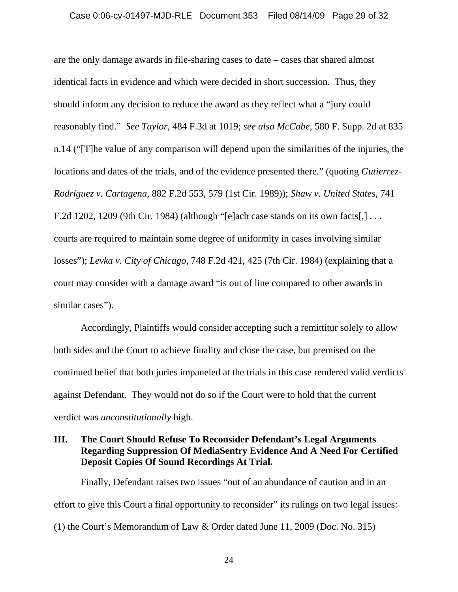are the only damage awards in file-sharing cases to date – cases that shared almost identical facts in evidence and which were decided in short succession. Thus, they should inform any decision to reduce the award as they reflect what a "jury could reasonably find." *See Taylor*, 484 F.3d at 1019; *see also McCabe*, 580 F. Supp. 2d at 835 n.14 ("[T]he value of any comparison will depend upon the similarities of the injuries, the locations and dates of the trials, and of the evidence presented there." (quoting *Gutierrez-Rodriguez v. Cartagena*, 882 F.2d 553, 579 (1st Cir. 1989)); *Shaw v. United States*, 741 F.2d 1202, 1209 (9th Cir. 1984) (although "[e]ach case stands on its own facts[,] . . . courts are required to maintain some degree of uniformity in cases involving similar losses"); *Levka v. City of Chicago*, 748 F.2d 421, 425 (7th Cir. 1984) (explaining that a court may consider with a damage award "is out of line compared to other awards in similar cases").

Accordingly, Plaintiffs would consider accepting such a remittitur solely to allow both sides and the Court to achieve finality and close the case, but premised on the continued belief that both juries impaneled at the trials in this case rendered valid verdicts against Defendant. They would not do so if the Court were to hold that the current verdict was *unconstitutionally* high.

## **III. The Court Should Refuse To Reconsider Defendant's Legal Arguments Regarding Suppression Of MediaSentry Evidence And A Need For Certified Deposit Copies Of Sound Recordings At Trial.**

Finally, Defendant raises two issues "out of an abundance of caution and in an effort to give this Court a final opportunity to reconsider" its rulings on two legal issues: (1) the Court's Memorandum of Law & Order dated June 11, 2009 (Doc. No. 315)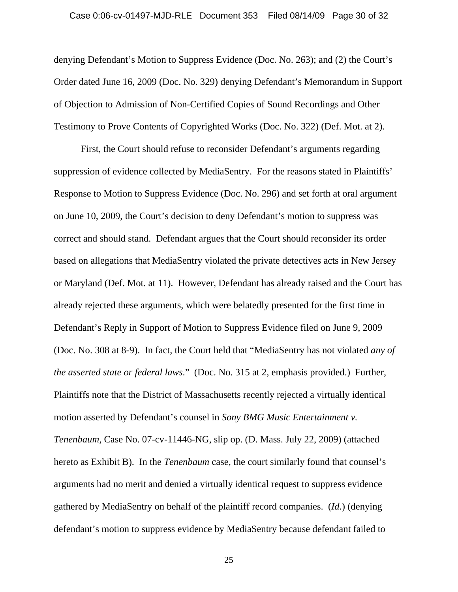#### Case 0:06-cv-01497-MJD-RLE Document 353 Filed 08/14/09 Page 30 of 32

denying Defendant's Motion to Suppress Evidence (Doc. No. 263); and (2) the Court's Order dated June 16, 2009 (Doc. No. 329) denying Defendant's Memorandum in Support of Objection to Admission of Non-Certified Copies of Sound Recordings and Other Testimony to Prove Contents of Copyrighted Works (Doc. No. 322) (Def. Mot. at 2).

First, the Court should refuse to reconsider Defendant's arguments regarding suppression of evidence collected by MediaSentry. For the reasons stated in Plaintiffs' Response to Motion to Suppress Evidence (Doc. No. 296) and set forth at oral argument on June 10, 2009, the Court's decision to deny Defendant's motion to suppress was correct and should stand. Defendant argues that the Court should reconsider its order based on allegations that MediaSentry violated the private detectives acts in New Jersey or Maryland (Def. Mot. at 11). However, Defendant has already raised and the Court has already rejected these arguments, which were belatedly presented for the first time in Defendant's Reply in Support of Motion to Suppress Evidence filed on June 9, 2009 (Doc. No. 308 at 8-9). In fact, the Court held that "MediaSentry has not violated *any of the asserted state or federal laws*." (Doc. No. 315 at 2, emphasis provided.) Further, Plaintiffs note that the District of Massachusetts recently rejected a virtually identical motion asserted by Defendant's counsel in *Sony BMG Music Entertainment v. Tenenbaum*, Case No. 07-cv-11446-NG, slip op. (D. Mass. July 22, 2009) (attached hereto as Exhibit B). In the *Tenenbaum* case, the court similarly found that counsel's arguments had no merit and denied a virtually identical request to suppress evidence gathered by MediaSentry on behalf of the plaintiff record companies. (*Id.*) (denying defendant's motion to suppress evidence by MediaSentry because defendant failed to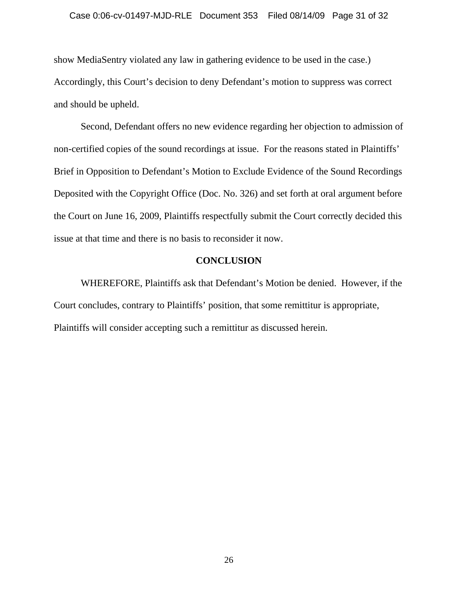#### Case 0:06-cv-01497-MJD-RLE Document 353 Filed 08/14/09 Page 31 of 32

show MediaSentry violated any law in gathering evidence to be used in the case.) Accordingly, this Court's decision to deny Defendant's motion to suppress was correct and should be upheld.

Second, Defendant offers no new evidence regarding her objection to admission of non-certified copies of the sound recordings at issue. For the reasons stated in Plaintiffs' Brief in Opposition to Defendant's Motion to Exclude Evidence of the Sound Recordings Deposited with the Copyright Office (Doc. No. 326) and set forth at oral argument before the Court on June 16, 2009, Plaintiffs respectfully submit the Court correctly decided this issue at that time and there is no basis to reconsider it now.

### **CONCLUSION**

WHEREFORE, Plaintiffs ask that Defendant's Motion be denied. However, if the Court concludes, contrary to Plaintiffs' position, that some remittitur is appropriate, Plaintiffs will consider accepting such a remittitur as discussed herein.